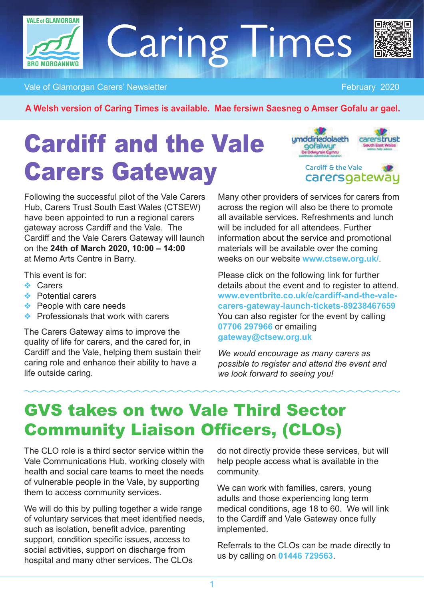

# Caring Times



Vale of Glamorgan Carers' Newsletter February 2020

**A Welsh version of Caring Times is available. Mae fersiwn Saesneg o Amser Gofalu ar gael.**

# Cardiff and the Vale Carers Gateway



Cardiff & the Vale carersgateway

Following the successful pilot of the Vale Carers Hub, Carers Trust South East Wales (CTSEW) have been appointed to run a regional carers gateway across Cardiff and the Vale. The Cardiff and the Vale Carers Gateway will launch on the **24th of March 2020, 10:00 – 14:00** at Memo Arts Centre in Barry.

This event is for:

- ❖ Carers
- ❖ Potential carers
- ❖ People with care needs
- ❖ Professionals that work with carers

The Carers Gateway aims to improve the quality of life for carers, and the cared for, in Cardiff and the Vale, helping them sustain their caring role and enhance their ability to have a life outside caring.

Many other providers of services for carers from across the region will also be there to promote all available services. Refreshments and lunch will be included for all attendees. Further information about the service and promotional materials will be available over the coming weeks on our website **www.ctsew.org.uk/**.

Please click on the following link for further details about the event and to register to attend. **www.eventbrite.co.uk/e/cardiff-and-the-valecarers-gateway-launch-tickets-89238467659** You can also register for the event by calling **07706 297966** or emailing **gateway@ctsew.org.uk** 

*We would encourage as many carers as possible to register and attend the event and we look forward to seeing you!* 

### GVS takes on two Vale Third Sector Community Liaison Officers, (CLOs)

The CLO role is a third sector service within the Vale Communications Hub, working closely with health and social care teams to meet the needs of vulnerable people in the Vale, by supporting them to access community services.

We will do this by pulling together a wide range of voluntary services that meet identified needs, such as isolation, benefit advice, parenting support, condition specific issues, access to social activities, support on discharge from hospital and many other services. The CLOs

do not directly provide these services, but will help people access what is available in the community.

We can work with families, carers, young adults and those experiencing long term medical conditions, age 18 to 60. We will link to the Cardiff and Vale Gateway once fully implemented.

Referrals to the CLOs can be made directly to us by calling on **01446 729563**.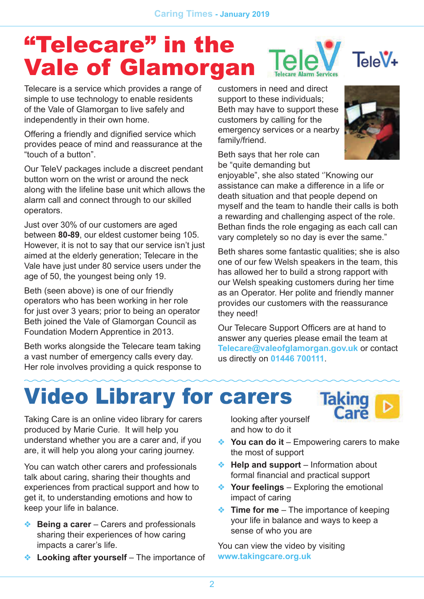### "Telecare" in the  $TeleV$  TeleV+ Vale of Glamorgan

Telecare is a service which provides a range of simple to use technology to enable residents of the Vale of Glamorgan to live safely and independently in their own home.

Offering a friendly and dignified service which provides peace of mind and reassurance at the "touch of a button".

Our TeleV packages include a discreet pendant button worn on the wrist or around the neck along with the lifeline base unit which allows the alarm call and connect through to our skilled operators.

Just over 30% of our customers are aged between **80-89**, our eldest customer being 105. However, it is not to say that our service isn't just aimed at the elderly generation; Telecare in the Vale have just under 80 service users under the age of 50, the youngest being only 19.

Beth (seen above) is one of our friendly operators who has been working in her role for just over 3 years; prior to being an operator Beth joined the Vale of Glamorgan Council as Foundation Modern Apprentice in 2013.

Beth works alongside the Telecare team taking a vast number of emergency calls every day. Her role involves providing a quick response to

customers in need and direct support to these individuals; Beth may have to support these customers by calling for the emergency services or a nearby family/friend.

Beth says that her role can be "quite demanding but

enjoyable", she also stated ''Knowing our assistance can make a difference in a life or death situation and that people depend on myself and the team to handle their calls is both a rewarding and challenging aspect of the role. Bethan finds the role engaging as each call can vary completely so no day is ever the same."

Beth shares some fantastic qualities; she is also one of our few Welsh speakers in the team, this has allowed her to build a strong rapport with our Welsh speaking customers during her time as an Operator. Her polite and friendly manner provides our customers with the reassurance they need!

Our Telecare Support Officers are at hand to answer any queries please email the team at **Telecare@valeofglamorgan.gov.uk** or contact us directly on **01446 700111**.

# Video Library for carers

Taking Care is an online video library for carers produced by Marie Curie. It will help you understand whether you are a carer and, if you are, it will help you along your caring journey.

You can watch other carers and professionals talk about caring, sharing their thoughts and experiences from practical support and how to get it, to understanding emotions and how to keep your life in balance.

- ❖ **Being a carer** Carers and professionals sharing their experiences of how caring impacts a carer's life.
- ❖ **Looking after yourself**  The importance of

looking after yourself and how to do it

❖ **You can do it** – Empowering carers to make the most of support

**Taki** 

- ❖ **Help and support**  Information about formal financial and practical support
- ❖ **Your feelings** Exploring the emotional impact of caring
- ❖ **Time for me** The importance of keeping your life in balance and ways to keep a sense of who you are

You can view the video by visiting **www.takingcare.org.uk**

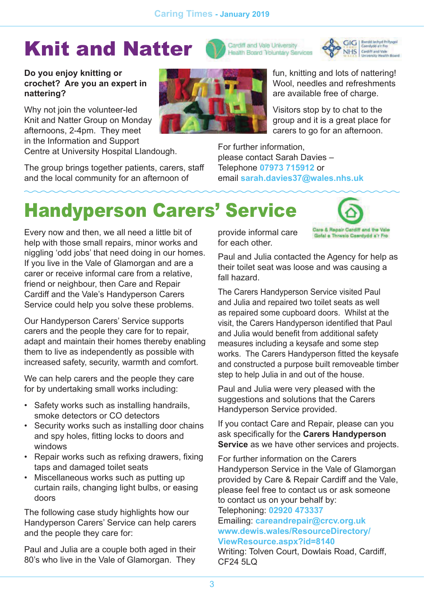## Knit and Natter





diff and the Vale

Gofal a Thrwsip Caerdydd a'r Fro

#### **Do you enjoy knitting or crochet? Are you an expert in nattering?**

Why not join the volunteer-led Knit and Natter Group on Monday afternoons, 2-4pm. They meet in the Information and Support Centre at University Hospital Llandough.

The group brings together patients, carers, staff and the local community for an afternoon of



fun, knitting and lots of nattering! Wool, needles and refreshments are available free of charge.

Visitors stop by to chat to the group and it is a great place for carers to go for an afternoon.

For further information, please contact Sarah Davies – Telephone **07973 715912** or email **sarah.davies37@wales.nhs.uk**

### Handyperson Carers' Service

Every now and then, we all need a little bit of help with those small repairs, minor works and niggling 'odd jobs' that need doing in our homes. If you live in the Vale of Glamorgan and are a carer or receive informal care from a relative, friend or neighbour, then Care and Repair Cardiff and the Vale's Handyperson Carers Service could help you solve these problems.

Our Handyperson Carers' Service supports carers and the people they care for to repair, adapt and maintain their homes thereby enabling them to live as independently as possible with increased safety, security, warmth and comfort.

We can help carers and the people they care for by undertaking small works including:

- Safety works such as installing handrails, smoke detectors or CO detectors
- Security works such as installing door chains and spy holes, fitting locks to doors and windows
- Repair works such as refixing drawers, fixing taps and damaged toilet seats
- Miscellaneous works such as putting up curtain rails, changing light bulbs, or easing doors

The following case study highlights how our Handyperson Carers' Service can help carers and the people they care for:

Paul and Julia are a couple both aged in their 80's who live in the Vale of Glamorgan. They provide informal care for each other.

Paul and Julia contacted the Agency for help as their toilet seat was loose and was causing a fall hazard.

The Carers Handyperson Service visited Paul and Julia and repaired two toilet seats as well as repaired some cupboard doors. Whilst at the visit, the Carers Handyperson identified that Paul and Julia would benefit from additional safety measures including a keysafe and some step works. The Carers Handyperson fitted the keysafe and constructed a purpose built removeable timber step to help Julia in and out of the house.

Paul and Julia were very pleased with the suggestions and solutions that the Carers Handyperson Service provided.

If you contact Care and Repair, please can you ask specifically for the **Carers Handyperson Service** as we have other services and projects.

For further information on the Carers Handyperson Service in the Vale of Glamorgan provided by Care & Repair Cardiff and the Vale, please feel free to contact us or ask someone to contact us on your behalf by:

Telephoning: **02920 473337**  Emailing: **careandrepair@crcv.org.uk www.dewis.wales/ResourceDirectory/ ViewResource.aspx?id=8140**

Writing: Tolven Court, Dowlais Road, Cardiff, CF24 5LQ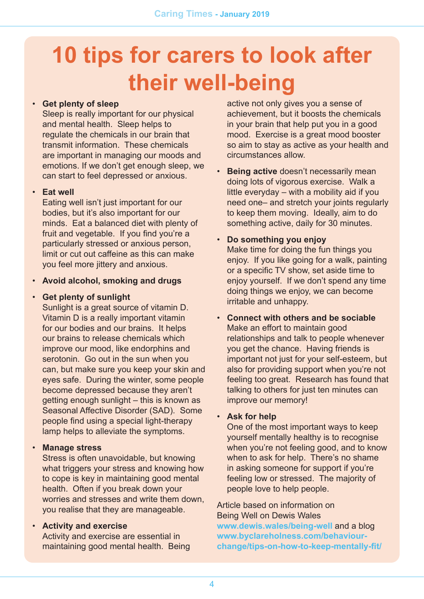# **10 tips for carers to look after their well-being**

### • **Get plenty of sleep**

Sleep is really important for our physical and mental health. Sleep helps to regulate the chemicals in our brain that transmit information. These chemicals are important in managing our moods and emotions. If we don't get enough sleep, we can start to feel depressed or anxious.

#### • **Eat well**

Eating well isn't just important for our bodies, but it's also important for our minds. Eat a balanced diet with plenty of fruit and vegetable. If you find you're a particularly stressed or anxious person, limit or cut out caffeine as this can make you feel more jittery and anxious.

### • **Avoid alcohol, smoking and drugs**

#### • **Get plenty of sunlight**

Sunlight is a great source of vitamin D. Vitamin D is a really important vitamin for our bodies and our brains. It helps our brains to release chemicals which improve our mood, like endorphins and serotonin. Go out in the sun when you can, but make sure you keep your skin and eyes safe. During the winter, some people become depressed because they aren't getting enough sunlight – this is known as Seasonal Affective Disorder (SAD). Some people find using a special light-therapy lamp helps to alleviate the symptoms.

### • **Manage stress**

Stress is often unavoidable, but knowing what triggers your stress and knowing how to cope is key in maintaining good mental health. Often if you break down your worries and stresses and write them down, you realise that they are manageable.

### • **Activity and exercise**

Activity and exercise are essential in maintaining good mental health. Being active not only gives you a sense of achievement, but it boosts the chemicals in your brain that help put you in a good mood. Exercise is a great mood booster so aim to stay as active as your health and circumstances allow.

- **Being active** doesn't necessarily mean doing lots of vigorous exercise. Walk a little everyday – with a mobility aid if you need one– and stretch your joints regularly to keep them moving. Ideally, aim to do something active, daily for 30 minutes.
- **Do something you enjoy**

Make time for doing the fun things you enjoy. If you like going for a walk, painting or a specific TV show, set aside time to enjoy yourself. If we don't spend any time doing things we enjoy, we can become irritable and unhappy.

• **Connect with others and be sociable**  Make an effort to maintain good relationships and talk to people whenever you get the chance. Having friends is important not just for your self-esteem, but also for providing support when you're not feeling too great. Research has found that talking to others for just ten minutes can improve our memory!

#### • **Ask for help**

One of the most important ways to keep yourself mentally healthy is to recognise when you're not feeling good, and to know when to ask for help. There's no shame in asking someone for support if you're feeling low or stressed. The majority of people love to help people.

Article based on information on Being Well on Dewis Wales **www.dewis.wales/being-well** and a blog **www.byclareholness.com/behaviourchange/tips-on-how-to-keep-mentally-fit/**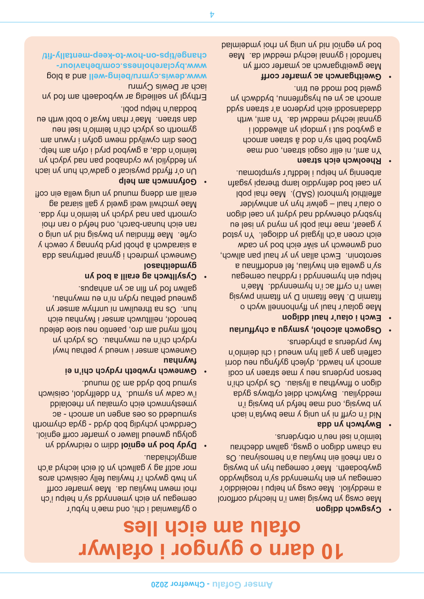### **10 darn o gyngor i ofalwyr ofalu am eich lles**

#### **Cysgwch digion**

Mae cwsg yn bwysig iawn i'n hiechyd corfforol a meddyliol. Mae cwsg yn helpu i reoleiddio'r cemegan yn ein pylmennydd sy'n frosplwyddo gwybodaeth. Mae'r cemegau hyn yn bwysig o ran rheoli ein hwyliau a'n hemosiynau. Os ne chawn ddigon o gwab o gallwn ddechrau teimlo'n isel neu'n orbryderus.

### **Bwytwch yn dda**

Nid i'n cyrff ni yn unig y mae bwyta'n iach yn bwysig, oug wysig yn bwysig yn b meddyliau. Bwytwch ddiet cytbwys gyda fray is neishil a larger of proper in the child berson pryderus neu y mae straen yn codi arnoch yn hawdd, dylech gyfyngu neu dorri caffein gan y gall hyn wneng i chi deimlo'n c fwy pryderus a phryderus.

- **Osgowch alcohol, ysmygu a chyffuriau** •
- **Ewch i olau'r haul ddigon** •

**Example and the correlation of the correlation**<br> **Cofficient** and the properties of the strength of the strength of the strength of the strength of the strength of the strength of the strength of the strength of the stren Mae golau'r haul yn ffynhonnell wych o fitamin D. Mae fitamin D yn fitamin pwysig iawn i'n cyrff ac i'n hymennydd. Mae'n i helbu ein phwenn $\lambda$ a i pphwendau cemegan sy'n gwella ein hwyliau, fel endorffinau a serotonin. Ewch allan yn yr haul pan allwch, ond gwnewch yn siŵr eich bod yn cadw eich croen a'ch llygaid yn ddiogel. Yn ystod y gaeaf, mae rhai pobl yn mynd yn isel eu hyspryd oherwydd yn cael gigon bar yn control yn cael a o olau'r haul – gelwir hyn yn anhwylder affeithiol tymhorol (SAD). Mae rhai pobl yn cael bod defnyddio lamp therapi ysgan arbennig yn helpu i leddfu'r symptomau.

### **Rheolwch eich straen** •

Yn aml, ni ellir osgoi straen, ond mae gwybod beth sy'n dod â straen arnoch a gwybod sut i ymdopi yn allweddol i gynnal iechyd meddwl da. Yn aml, wrth ddadansoddi eich pryderon a'r straen sydd arnoch ac yn eu hysgrifennu, byddwch yn gweld bod modd eu trin.

### **Gweithgarwch ac ymarfer corff** •

Mae gweithgarwch ac ymarfer corff yn hanfodol i gynnal iechyd meddwl da. Mae bolmiebod yn unig yn unig yn yndeimied yn yn eithol yn y bod

o gyflawniad i chi, ond mae'n hybu'r cemegan *y*n eich ymennydd sy'n helpu i'ch f rhoi mewn hwyliau da. Mae ymarfer corf yn hwb gwych i'r hwyliau felly ceisiwch aros mor actif ag y gallwch yn ôl eich iechyd a'ch amgylchiadau.

- **dim o reidrim o reidrwydd yn eighnydd yn** golygu gwneud llawer o ymarfer corff egnïol. Cerddwch ychydig bob dydd - gyda chymorth se - young un uebue seo so ppepnuns ymestynnwch eich cymalau yn rheolaidd i'w cadw yn symud. Yn ddelfrydol, ceisiwch symud bob dydd am 30 munud.
- **Gwnewch rywbeth rydych chi'n ei neyu/wl**

Gwnewch amser i wneud y pethau hwyl rydych chi'n eu mwynhau. Os ydych yn hoffi mynd am dro, paentio nen and appelent benodol, neilltuwch amser i fwynhau eich hun. Os na threuliwn ni unrhyw amser yn gwneng bethau rydyn ni'n eu mwynhau, gallwn fod yn flin ac yn anhapus.

**Cysylltwch ag eraill a bod yn** •

**gymdeithasol** Gwnewch ymdrech i gynnal perthynas dda a siaradwch â phobl pryd bynnag y cewch y cyfle. Mae ffrindiau yn bwysig nid yn nig o ran eich hunan-barch, ond hefyd o ran rhoi cymorth pan nad ydych yn teimlo'n rhy dda. Mae ymchwil wedi gweld y gall siarad ag eraill am ddeng munud yn unig wella ein cof!

### **Gotynmon am help**

Un o'r ffyrdd pwysicaf o gadw'ch hun yn iach yn feddyliol yw cydnabod pan nad ydych yn teimlo'n dda, a gwybod pryd i ofyn am help. Does qin cywilydd nawn gofyn i rywun am gymorth os ydych chi'n teimlo'n isel neu dan straen. Mae'r rhan fwyaf o bobl wrth eu boddau'n helpu pobl.

Erthygl yn seiliedig ar wybodaeth am fod yn iach ar Dewis Cymru

www.dewis.cymru/being-well and a blog www.byclareholness.com/behaviour**change/tips-on-how-to-keep-mentally-fit/**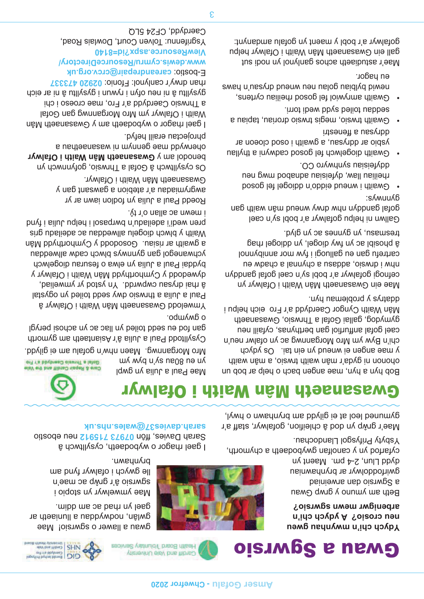### Gwau a Sgwrsio

**Ydych chi'n mwyndweu gweu neu crosio? A ydych chi'n arbenigwr mewn sgwrsio?**

Beth am ymuno y gwau a Sgwrsio dan arweiniad gwirfoddolwyr ar brynhawniau dydd Llun, 2-4 pm. Maent yn cyfarfod yn y canolfan gwybodaeth a chymorth, Ysbyty Prifysgol Llandochau.

Mae'r grŵp yn dod â chleifion, gofalwyr, staff a'r gymuned leol at ei gilydd am brynhawn o hwyl,



I gael rhagor o wybodaeth, cysylltwch â Sarah Davies, ffôn 07973 715911 neu ebostio **sarah.davies37@wales.nhs.uk**

brynhawn.

yn en goar ak wyd yw ym

gwau a llawer o sgwrsio! Mae gwlân, nodwyddau a lluniaeth ar

gael yn rhad ac am ddim.

Mae ymwelwyr yn stopio i sgwrsio â'r grŵp ac mae'n lle gwych i ofalwyr fynd am

### Gwasanaeth Mân Waith i Ofalwyr



loputint burbal blows<br>
of Ta between Cardinal<br>
of Ta between Tables<br>
of the the visit of the same of the same of the same of the same of the same of the same of the same of the same of the same of the same of the same of t

Gold 1's bhybreso clawsni a lateD Care & Repair Cardiff and the Vale Mae Paul a Julia yn gwpl

Cysylltodd Paul a Julia â'r Asiantaeth am gymorth gan fod eu sedd toiled yn llac ac yn achosi perygl o gwympo.

Mro Morgannwg. Maen nhw'n gofalu am ei gilydd.

Ymwelodd Gwasanaeth Mân Waith i Ofalwyr â Paul a Julia a thrwsio dwy sedd toiled yn ogystal â rhai drysau cwpwrdd. Yn ystod yr ymweliad, dywedodd y Cymhorthydd Mân Waith i Ofalwyr y byddai Paul a Julia yn elwa o fesurau diogelwch ychwanegol gan gynnwys blwch cadw allweddau a gwaith ar risiau. Gosododd y Cymhorthydd Mân Waith y blwch diogelu allweddau ac adeiladu gris pren wedi'i adeiladu'n bwrpasol i helpu Julia i fynd i mewn ac allan o'r tŷ.

Roedd Paul a Julia yn fodlon iawn ar yr awgrymiadau a'r atebion a gawsant gan y Gwasanaeth Mân Waith i Ofalwyr.

Os cysylltwch â Gofal a Thrwsio, gofynnwch yn benodol am y **Gwasanaeth Mân Waith i Ofalwyr** oherwydd mae gennym ni wasanaethau a phrojectau eraill hefyd.

I gael rhagor o wybodaeth am y Gwasanaeth Mân Waith i Ofalwyr ym Mro Morgannwg gan Gofal a Thrwsio Caerdydd a'r Fro, mae croeso i chi gysylltu â ni neu ofyn i rywun i gysylltu â ni ar eich rhan drwy'r canlynol: Ffonio: 02920 473337 E-bostio: careandrepair@crcv.org.uk

**www.dewis.cymru/ResourceDirectory/ iewResource.aspx?id=8140 V** Ysgrifennu: Tolven Court, Dowlais Road, Caerdydd, CF24 5LQ

**Example the Chymnet Cofficients of Chance Cofficients of Cheramical Corresponding to the Cheramical Corresponding to the Cheramical Corresponding to the Cheramical Corresponding to the Cheramical Corresponding to the Cher** Bob hyn a hyn, mae angen bach o help ar bob un ohonon ni gyda'r mân waith trwsio, a mân waith y mae angen ei wneud yn ein tai. Os ydych chi'n Byw ym Mro Morgannwg ac yn ofalwr neu'n cael gofal anffurfiol gan berthynas, cyfaill neu gymydog, gallai Gofal a Thrwsio, Gwasanaeth Mân Waith Cyngor Caerdydd a'r Fro eich helpu i ddatrys y problemau hyn.

Mae ein Gwasanaeth Mân Waith i Ofalwyr yn cefnogi gofalwyr a'r bobl sy'n cael gofal ganddyn ne whey i draws a chynnal a chadw eu cartrefu gan eu galluogi i fyw mor annibynnol â phosibl ac yn fwy diogel, yn ddiogel rhag tresmasu, yn gynnes ac yn glyd.

Gallwn ni helpu gofalwyr a'r bobl sy'n cael gofal ganda wanda kung wanda waita wa baba ya baba ya kusa baba ya kusa wa kusa wa kusa wa kusa wa kusa wa kus gynnwys:

- bosop let legoibb n'obbie buenn i diiswo rheiliau llaw, dyfeisiau adnabod mwg neu ddyfeisiau synhwyro CO.
- Gwaith diogelwch fel gosod cadwyni a thyllau ysbio ar ddrysau, a gwaith i osod cloeon ar ddrysau a ffenestri
- Gwaith trwsio, megis trwsio droriau, tapiau a seddau toiled sydd wedi torri.
- Gwaith amrywiol fel gosod rheiliau cyrtens, swey u nes Aup pneuw neu nelob neiql Aq piweu eu hagor.

Mae'r astudiaeth achos ganlynol yn nodi sut gall ein Gwasanaeth Mân Waith i Ofalwyr helpu gofalwyr a'r bobl y maent yn gofalu amdanynt: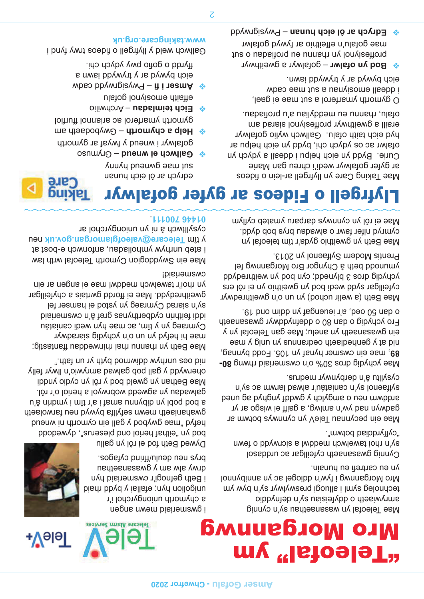## <sup>"Tel</sup>eofal" ym Mro Morgannwg

 $\sqrt{4}$ ələ $\Gamma$ 



i gwsmeriaid mewn angen a chymorth uniongyrchol i'r unigolion hyn; efallai y bydd rhaid i Beth gefnogi'r cwsmeriaid hyn alw alw am *y* gwasanaethau brys neu deulu/ffrind cyfagos.

Dywed Beth fod ei rôl yn gallu bod yn "eithaf heriol ond pleserus", dywedodd bush in throm you bodywg sem, byted gwahaniaeth mewn sefyllfa bywyd neu farwolaeth a bod pobl yn dibynnu arnaf i a'r tîm i ymdrin â'u galwadau yn agwedd wobrwyol a heriol o'r rôl. Mae Bethan yn gweld bod y rôl yn cydio ynddi

The main beat of the correspondent of the main beat of the main beat of the main beat of the main beat of the main beat of the main beat of the main beat of the main beat of the main beat of the main beat of the main beat Mae Beth yn rhannu rhai rhinweddau ffantastig; mae hi hefyd yn un o'n ychydig siaradwyr Cymraeg yn y tîm, ac mae hyn wedi caniatáu iddi feithrin cydberthynas gref â'n cwsmeriaid sy'n siarad Cymraeg yn ystod ei hamser fel gweithredydd. Mae ei ffordd gwrtais a chyfeillgar yn rhoi'r tawelwch meddwl mae ei angen ar ein cwsmeriaid!

oherwydd y gall pob galwad amrywio'n llwyr felly

nid oes unrhyw ddiwrnod byth yr un fath."

Mae ein Swyddogion Cymorth Teleofal wrth law i ateb unrhyw ymholiadau, anfonwch e-bost at neu **Telecare@valeofglamorgan.gov.uk** y tîm cysylltwch â ni yn uniongyrchol ar . **01446 700111**

> Mae Teleofal yn wasanaethau sy'n cynnig amrywiaeth o ddyfeisiau sy'n defnyddio technoleg syml i alluogi preswylwyr sy'n byw ym Mro Morgannwg i fyw'n ddiogel ac yn annibynnol yn eu cartrefi eu hunain.

Cynnig gwasanaeth cyfeillgar ac urddasol sy'n rhoi tawelwch meddwl a sicrwydd o fewn "cyffyrddiad botwm".

Mae ein pecynnau TeleV yn cynnwys botwm ar gadwyn nad yw'n amlwg, a gaiff ei wisgo ar yr are in the post of a gigan four oneq peup separation for pair against pair against the pair of pair  $\alpha$ sylfaenol sy'n caniatáu'r alwad larwm ac sy'n cysylltu â'n derbynwyr medrus.

**80-** Mae ychydig dros 30% o'n cwsmeriaid rhwng , mae ein cwsmer hynaf yn 105. Fodd bynnag, **89** nid at y genhedlaeth oedrannus yn unig y he ein gwasanaeth yn anelu; Mae gan Teleofal yn y Fro ychydig o dan 80 o ddefnyddwyr gwasanaeth o dan 50 oed, a'r ieuengaf yn ddim ond 19.

Mae Beth (a welir uchod) yn un o'n gweithredwyr cyfeillgar sydd wedi bod yn gweithio yn ei rôl ers ychydig dros 3 blynedd; cyn bod yn weithredydd ymunodd beth â Chyngor Bro Morgannwg fel Prentis Modern Sylfaenol yn 2013.

Mae Beth yn gweithio gyda'r tîm teleofal yn cymryd nifer fawr o alwadau brys bob dydd. Mae ei rôl yn cynnwys darparu ymateb cyflym



edrych ar ôl eich hunan sut was dwuend your Audit

**→ Eich teimladau** – Archwilio effaith emosiynol gofalu

**www.takingcare.org.uk**

wheo bby weigrwyd - it i nearn  $\triangle$ eich bywyd ar y trywydd iawn a ffyrdd o gofio pwy ydych chi.

 $\div$  Gallwch ei wneud – Grymuso

gofalwyr i wneud y fwyaf ar gymorth  $\phi$  **Help a chymorth - Gwybodaeth am** gymorth ymarterol ac ariannol ffurtiol

Gallwch weld y llyfrgell o fideos trwy fynd i



### Llyfrgell o Fideos ar gyfer gofalwyr

Mae Taking Care yn llyfrgell ar-lein o fideos ar gyfer gofalwyr wedi'i chreu gan Marie Curie. Bydd yn eich helpu i ddeall a ydych yn ofalwr ac os ydych chi, bydd yn eich helpu ar hyd eich taith ofalu. Gallwch wylio gofalwyr eraill a gweithwyr proffesiynol siarad am ofalu, rhannu eu meddyliau a'u profiadau.

O gymorth ymarferol a sut mae ei gael, i ddeall emosiynau a sut mae cadw eich bywyd ar y trywydd iawn.

- **∻ Bod yn ofalwr** gofalwyr a gweithwyr proffesiynol yn rhannu eu profiadau o sut mae gofalu'n effeithio ar fywyd gofalwr
- Pwysigrwydd **Edrych ar ôl eich hunan** ❖